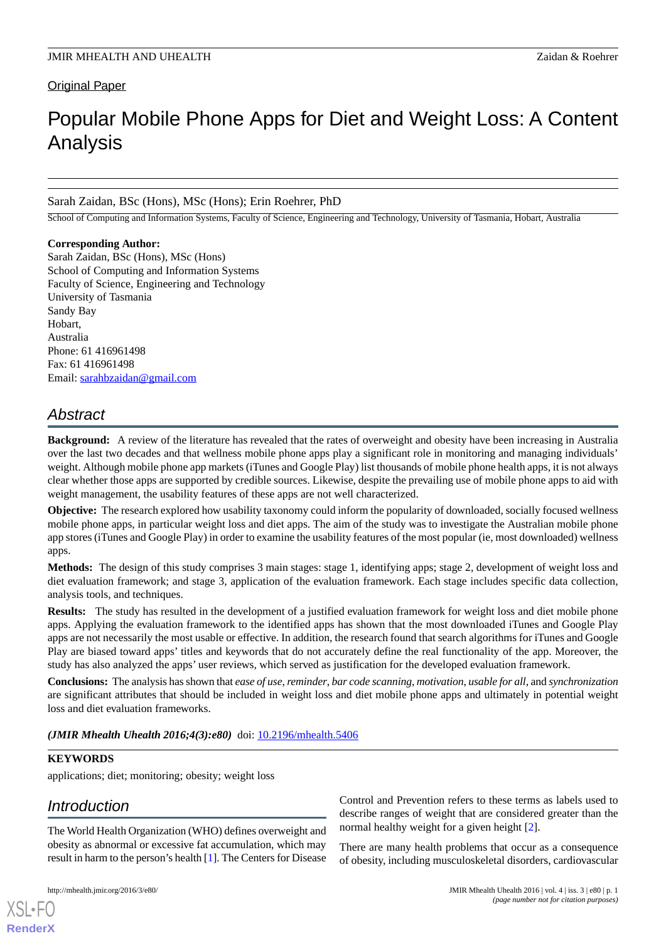# **Original Paper**

# Popular Mobile Phone Apps for Diet and Weight Loss: A Content Analysis

### Sarah Zaidan, BSc (Hons), MSc (Hons); Erin Roehrer, PhD

School of Computing and Information Systems, Faculty of Science, Engineering and Technology, University of Tasmania, Hobart, Australia

#### **Corresponding Author:**

Sarah Zaidan, BSc (Hons), MSc (Hons) School of Computing and Information Systems Faculty of Science, Engineering and Technology University of Tasmania Sandy Bay Hobart, Australia Phone: 61 416961498 Fax: 61 416961498 Email: [sarahbzaidan@gmail.com](mailto:sarahbzaidan@gmail.com)

# *Abstract*

**Background:** A review of the literature has revealed that the rates of overweight and obesity have been increasing in Australia over the last two decades and that wellness mobile phone apps play a significant role in monitoring and managing individuals' weight. Although mobile phone app markets (iTunes and Google Play) list thousands of mobile phone health apps, it is not always clear whether those apps are supported by credible sources. Likewise, despite the prevailing use of mobile phone apps to aid with weight management, the usability features of these apps are not well characterized.

**Objective:** The research explored how usability taxonomy could inform the popularity of downloaded, socially focused wellness mobile phone apps, in particular weight loss and diet apps. The aim of the study was to investigate the Australian mobile phone app stores (iTunes and Google Play) in order to examine the usability features of the most popular (ie, most downloaded) wellness apps.

**Methods:** The design of this study comprises 3 main stages: stage 1, identifying apps; stage 2, development of weight loss and diet evaluation framework; and stage 3, application of the evaluation framework. Each stage includes specific data collection, analysis tools, and techniques.

**Results:** The study has resulted in the development of a justified evaluation framework for weight loss and diet mobile phone apps. Applying the evaluation framework to the identified apps has shown that the most downloaded iTunes and Google Play apps are not necessarily the most usable or effective. In addition, the research found that search algorithms for iTunes and Google Play are biased toward apps' titles and keywords that do not accurately define the real functionality of the app. Moreover, the study has also analyzed the apps' user reviews, which served as justification for the developed evaluation framework.

**Conclusions:** The analysis has shown that *ease of use*, *reminder*, *bar code scanning*, *motivation*, *usable for all*, and *synchronization* are significant attributes that should be included in weight loss and diet mobile phone apps and ultimately in potential weight loss and diet evaluation frameworks.

*(JMIR Mhealth Uhealth 2016;4(3):e80)* doi: **10.2196/mhealth.5406** 

# **KEYWORDS**

applications; diet; monitoring; obesity; weight loss

# *Introduction*

The World Health Organization (WHO) defines overweight and obesity as abnormal or excessive fat accumulation, which may result in harm to the person's health [[1\]](#page-8-0). The Centers for Disease

[XSL](http://www.w3.org/Style/XSL)•FO **[RenderX](http://www.renderx.com/)**

Control and Prevention refers to these terms as labels used to describe ranges of weight that are considered greater than the normal healthy weight for a given height [\[2](#page-8-1)].

There are many health problems that occur as a consequence of obesity, including musculoskeletal disorders, cardiovascular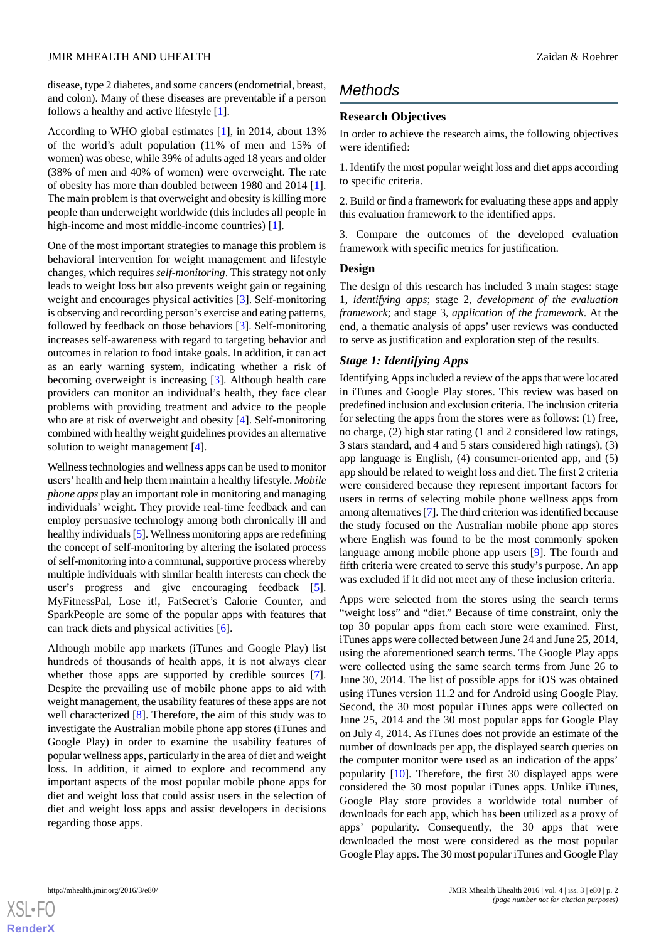disease, type 2 diabetes, and some cancers (endometrial, breast, and colon). Many of these diseases are preventable if a person follows a healthy and active lifestyle [[1\]](#page-8-0).

According to WHO global estimates [[1](#page-8-0)], in 2014, about 13% of the world's adult population (11% of men and 15% of women) was obese, while 39% of adults aged 18 years and older (38% of men and 40% of women) were overweight. The rate of obesity has more than doubled between 1980 and 2014 [[1\]](#page-8-0). The main problem is that overweight and obesity is killing more people than underweight worldwide (this includes all people in high-income and most middle-income countries) [\[1](#page-8-0)].

One of the most important strategies to manage this problem is behavioral intervention for weight management and lifestyle changes, which requires *self-monitoring*. This strategy not only leads to weight loss but also prevents weight gain or regaining weight and encourages physical activities [\[3](#page-8-2)]. Self-monitoring is observing and recording person's exercise and eating patterns, followed by feedback on those behaviors [\[3](#page-8-2)]. Self-monitoring increases self-awareness with regard to targeting behavior and outcomes in relation to food intake goals. In addition, it can act as an early warning system, indicating whether a risk of becoming overweight is increasing [[3\]](#page-8-2). Although health care providers can monitor an individual's health, they face clear problems with providing treatment and advice to the people who are at risk of overweight and obesity [\[4](#page-8-3)]. Self-monitoring combined with healthy weight guidelines provides an alternative solution to weight management [\[4](#page-8-3)].

Wellness technologies and wellness apps can be used to monitor users' health and help them maintain a healthy lifestyle. *Mobile phone apps* play an important role in monitoring and managing individuals' weight. They provide real-time feedback and can employ persuasive technology among both chronically ill and healthy individuals [\[5\]](#page-8-4). Wellness monitoring apps are redefining the concept of self-monitoring by altering the isolated process of self-monitoring into a communal, supportive process whereby multiple individuals with similar health interests can check the user's progress and give encouraging feedback [[5\]](#page-8-4). MyFitnessPal, Lose it!, FatSecret's Calorie Counter, and SparkPeople are some of the popular apps with features that can track diets and physical activities [\[6](#page-8-5)].

Although mobile app markets (iTunes and Google Play) list hundreds of thousands of health apps, it is not always clear whether those apps are supported by credible sources [[7\]](#page-8-6). Despite the prevailing use of mobile phone apps to aid with weight management, the usability features of these apps are not well characterized [[8\]](#page-8-7). Therefore, the aim of this study was to investigate the Australian mobile phone app stores (iTunes and Google Play) in order to examine the usability features of popular wellness apps, particularly in the area of diet and weight loss. In addition, it aimed to explore and recommend any important aspects of the most popular mobile phone apps for diet and weight loss that could assist users in the selection of diet and weight loss apps and assist developers in decisions regarding those apps.

# *Methods*

### **Research Objectives**

In order to achieve the research aims, the following objectives were identified:

1. Identify the most popular weight loss and diet apps according to specific criteria.

2. Build or find a framework for evaluating these apps and apply this evaluation framework to the identified apps.

3. Compare the outcomes of the developed evaluation framework with specific metrics for justification.

#### **Design**

The design of this research has included 3 main stages: stage 1, *identifying apps*; stage 2, *development of the evaluation framework*; and stage 3, *application of the framework*. At the end, a thematic analysis of apps' user reviews was conducted to serve as justification and exploration step of the results.

### *Stage 1: Identifying Apps*

Identifying Apps included a review of the apps that were located in iTunes and Google Play stores. This review was based on predefined inclusion and exclusion criteria. The inclusion criteria for selecting the apps from the stores were as follows: (1) free, no charge, (2) high star rating (1 and 2 considered low ratings, 3 stars standard, and 4 and 5 stars considered high ratings), (3) app language is English, (4) consumer-oriented app, and (5) app should be related to weight loss and diet. The first 2 criteria were considered because they represent important factors for users in terms of selecting mobile phone wellness apps from among alternatives [[7](#page-8-6)]. The third criterion was identified because the study focused on the Australian mobile phone app stores where English was found to be the most commonly spoken language among mobile phone app users [[9](#page-8-8)]. The fourth and fifth criteria were created to serve this study's purpose. An app was excluded if it did not meet any of these inclusion criteria.

Apps were selected from the stores using the search terms "weight loss" and "diet." Because of time constraint, only the top 30 popular apps from each store were examined. First, iTunes apps were collected between June 24 and June 25, 2014, using the aforementioned search terms. The Google Play apps were collected using the same search terms from June 26 to June 30, 2014. The list of possible apps for iOS was obtained using iTunes version 11.2 and for Android using Google Play. Second, the 30 most popular iTunes apps were collected on June 25, 2014 and the 30 most popular apps for Google Play on July 4, 2014. As iTunes does not provide an estimate of the number of downloads per app, the displayed search queries on the computer monitor were used as an indication of the apps' popularity [\[10](#page-8-9)]. Therefore, the first 30 displayed apps were considered the 30 most popular iTunes apps. Unlike iTunes, Google Play store provides a worldwide total number of downloads for each app, which has been utilized as a proxy of apps' popularity. Consequently, the 30 apps that were downloaded the most were considered as the most popular Google Play apps. The 30 most popular iTunes and Google Play

 $XS$ -FO **[RenderX](http://www.renderx.com/)**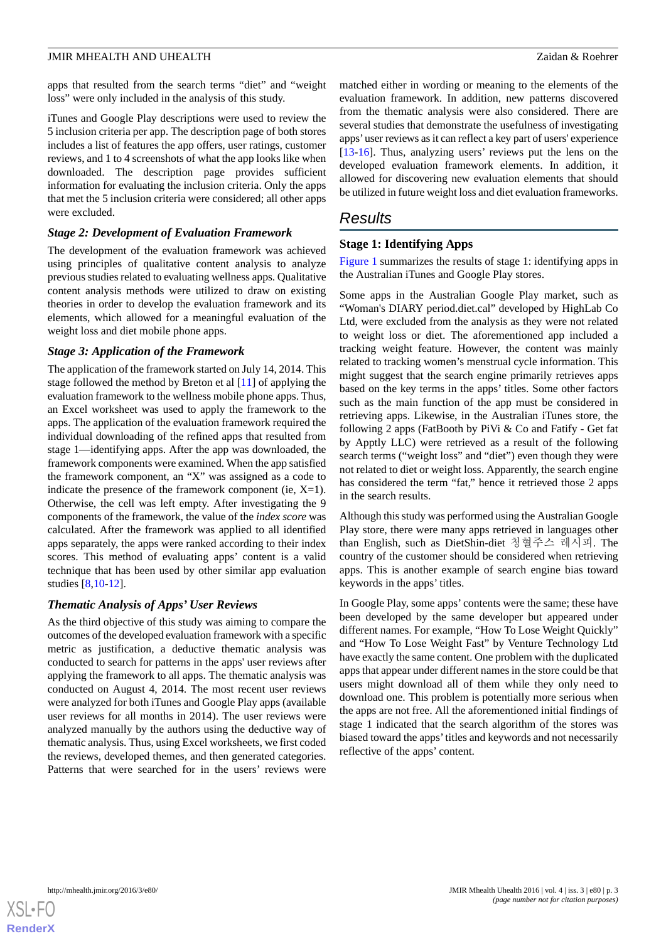apps that resulted from the search terms "diet" and "weight loss" were only included in the analysis of this study.

iTunes and Google Play descriptions were used to review the 5 inclusion criteria per app. The description page of both stores includes a list of features the app offers, user ratings, customer reviews, and 1 to 4 screenshots of what the app looks like when downloaded. The description page provides sufficient information for evaluating the inclusion criteria. Only the apps that met the 5 inclusion criteria were considered; all other apps were excluded.

#### *Stage 2: Development of Evaluation Framework*

The development of the evaluation framework was achieved using principles of qualitative content analysis to analyze previous studies related to evaluating wellness apps. Qualitative content analysis methods were utilized to draw on existing theories in order to develop the evaluation framework and its elements, which allowed for a meaningful evaluation of the weight loss and diet mobile phone apps.

#### *Stage 3: Application of the Framework*

The application of the framework started on July 14, 2014. This stage followed the method by Breton et al [\[11](#page-8-10)] of applying the evaluation framework to the wellness mobile phone apps. Thus, an Excel worksheet was used to apply the framework to the apps. The application of the evaluation framework required the individual downloading of the refined apps that resulted from stage 1—identifying apps. After the app was downloaded, the framework components were examined. When the app satisfied the framework component, an "X" was assigned as a code to indicate the presence of the framework component (ie,  $X=1$ ). Otherwise, the cell was left empty. After investigating the 9 components of the framework, the value of the *index score* was calculated. After the framework was applied to all identified apps separately, the apps were ranked according to their index scores. This method of evaluating apps' content is a valid technique that has been used by other similar app evaluation studies [\[8](#page-8-7),[10-](#page-8-9)[12\]](#page-8-11).

#### *Thematic Analysis of Apps' User Reviews*

As the third objective of this study was aiming to compare the outcomes of the developed evaluation framework with a specific metric as justification, a deductive thematic analysis was conducted to search for patterns in the apps' user reviews after applying the framework to all apps. The thematic analysis was conducted on August 4, 2014. The most recent user reviews were analyzed for both iTunes and Google Play apps (available user reviews for all months in 2014). The user reviews were analyzed manually by the authors using the deductive way of thematic analysis. Thus, using Excel worksheets, we first coded the reviews, developed themes, and then generated categories. Patterns that were searched for in the users' reviews were

matched either in wording or meaning to the elements of the evaluation framework. In addition, new patterns discovered from the thematic analysis were also considered. There are several studies that demonstrate the usefulness of investigating apps'user reviews as it can reflect a key part of users' experience [[13](#page-8-12)[-16](#page-8-13)]. Thus, analyzing users' reviews put the lens on the developed evaluation framework elements. In addition, it allowed for discovering new evaluation elements that should be utilized in future weight loss and diet evaluation frameworks.

# *Results*

#### **Stage 1: Identifying Apps**

[Figure 1](#page-3-0) summarizes the results of stage 1: identifying apps in the Australian iTunes and Google Play stores.

Some apps in the Australian Google Play market, such as "Woman's DIARY period.diet.cal" developed by HighLab Co Ltd, were excluded from the analysis as they were not related to weight loss or diet. The aforementioned app included a tracking weight feature. However, the content was mainly related to tracking women's menstrual cycle information. This might suggest that the search engine primarily retrieves apps based on the key terms in the apps' titles. Some other factors such as the main function of the app must be considered in retrieving apps. Likewise, in the Australian iTunes store, the following 2 apps (FatBooth by PiVi & Co and Fatify - Get fat by Apptly LLC) were retrieved as a result of the following search terms ("weight loss" and "diet") even though they were not related to diet or weight loss. Apparently, the search engine has considered the term "fat," hence it retrieved those 2 apps in the search results.

Although this study was performed using the Australian Google Play store, there were many apps retrieved in languages other than English, such as DietShin-diet 청혈주스 레시피. The country of the customer should be considered when retrieving apps. This is another example of search engine bias toward keywords in the apps' titles.

In Google Play, some apps' contents were the same; these have been developed by the same developer but appeared under different names. For example, "How To Lose Weight Quickly" and "How To Lose Weight Fast" by Venture Technology Ltd have exactly the same content. One problem with the duplicated apps that appear under different names in the store could be that users might download all of them while they only need to download one. This problem is potentially more serious when the apps are not free. All the aforementioned initial findings of stage 1 indicated that the search algorithm of the stores was biased toward the apps'titles and keywords and not necessarily reflective of the apps' content.

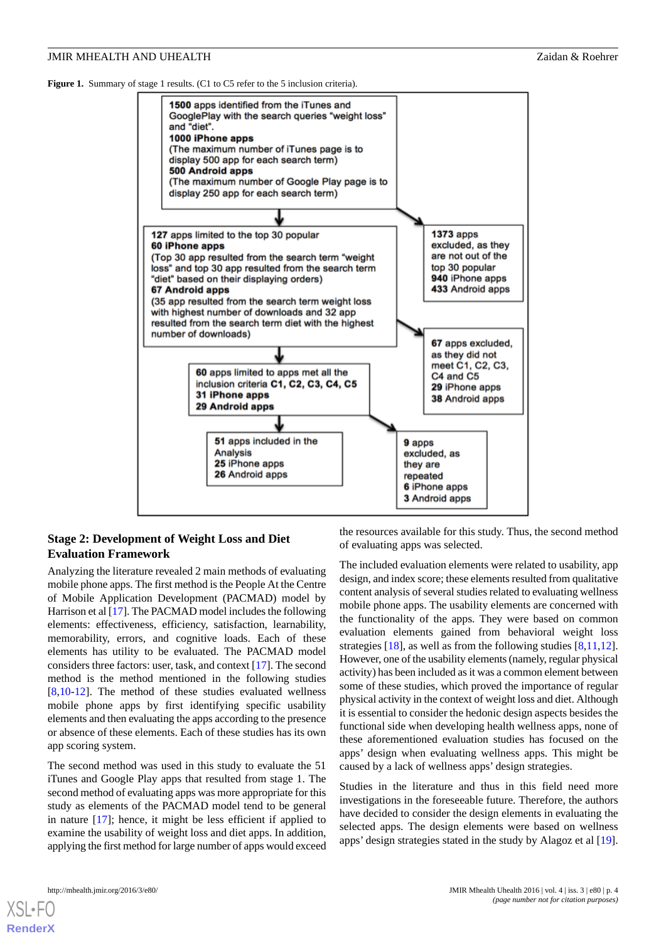<span id="page-3-0"></span>Figure 1. Summary of stage 1 results. (C1 to C5 refer to the 5 inclusion criteria).



### **Stage 2: Development of Weight Loss and Diet Evaluation Framework**

Analyzing the literature revealed 2 main methods of evaluating mobile phone apps. The first method is the People At the Centre of Mobile Application Development (PACMAD) model by Harrison et al [\[17](#page-8-14)]. The PACMAD model includes the following elements: effectiveness, efficiency, satisfaction, learnability, memorability, errors, and cognitive loads. Each of these elements has utility to be evaluated. The PACMAD model considers three factors: user, task, and context [\[17](#page-8-14)]. The second method is the method mentioned in the following studies [[8](#page-8-7)[,10](#page-8-9)-[12\]](#page-8-11). The method of these studies evaluated wellness mobile phone apps by first identifying specific usability elements and then evaluating the apps according to the presence or absence of these elements. Each of these studies has its own app scoring system.

The second method was used in this study to evaluate the 51 iTunes and Google Play apps that resulted from stage 1. The second method of evaluating apps was more appropriate for this study as elements of the PACMAD model tend to be general in nature [\[17](#page-8-14)]; hence, it might be less efficient if applied to examine the usability of weight loss and diet apps. In addition, applying the first method for large number of apps would exceed

the resources available for this study. Thus, the second method of evaluating apps was selected.

The included evaluation elements were related to usability, app design, and index score; these elements resulted from qualitative content analysis of several studies related to evaluating wellness mobile phone apps. The usability elements are concerned with the functionality of the apps. They were based on common evaluation elements gained from behavioral weight loss strategies [[18\]](#page-8-15), as well as from the following studies [[8](#page-8-7)[,11](#page-8-10),[12\]](#page-8-11). However, one of the usability elements (namely, regular physical activity) has been included as it was a common element between some of these studies, which proved the importance of regular physical activity in the context of weight loss and diet. Although it is essential to consider the hedonic design aspects besides the functional side when developing health wellness apps, none of these aforementioned evaluation studies has focused on the apps' design when evaluating wellness apps. This might be caused by a lack of wellness apps' design strategies.

Studies in the literature and thus in this field need more investigations in the foreseeable future. Therefore, the authors have decided to consider the design elements in evaluating the selected apps. The design elements were based on wellness apps' design strategies stated in the study by Alagoz et al [[19\]](#page-9-0).

[XSL](http://www.w3.org/Style/XSL)•FO **[RenderX](http://www.renderx.com/)**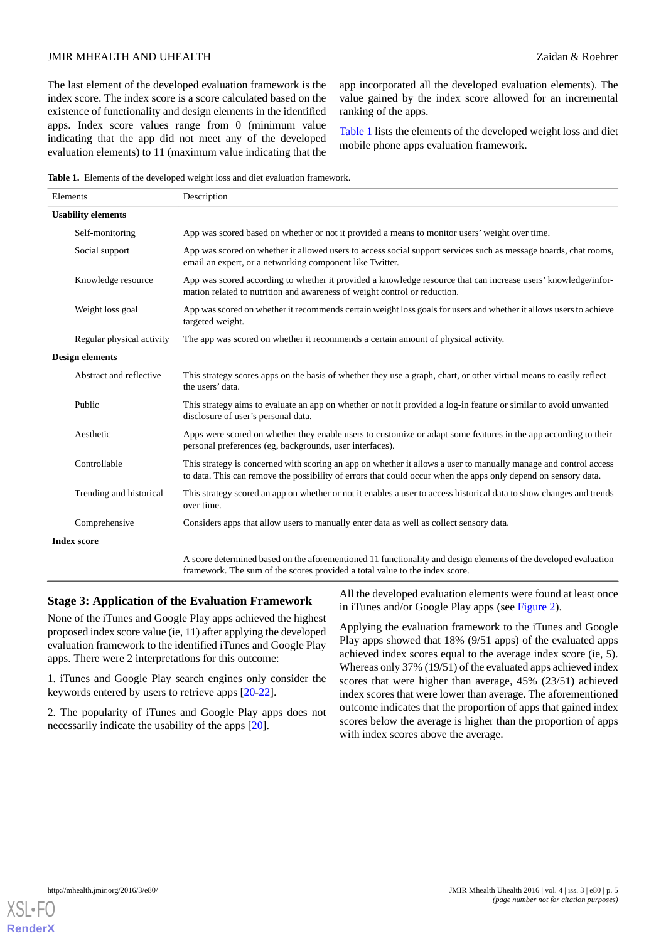The last element of the developed evaluation framework is the index score. The index score is a score calculated based on the existence of functionality and design elements in the identified apps. Index score values range from 0 (minimum value indicating that the app did not meet any of the developed evaluation elements) to 11 (maximum value indicating that the

app incorporated all the developed evaluation elements). The value gained by the index score allowed for an incremental ranking of the apps.

[Table 1](#page-4-0) lists the elements of the developed weight loss and diet mobile phone apps evaluation framework.

<span id="page-4-0"></span>**Table 1.** Elements of the developed weight loss and diet evaluation framework.

| Elements                  |                           | Description                                                                                                                                                                                                                        |
|---------------------------|---------------------------|------------------------------------------------------------------------------------------------------------------------------------------------------------------------------------------------------------------------------------|
| <b>Usability elements</b> |                           |                                                                                                                                                                                                                                    |
|                           | Self-monitoring           | App was scored based on whether or not it provided a means to monitor users' weight over time.                                                                                                                                     |
|                           | Social support            | App was scored on whether it allowed users to access social support services such as message boards, chat rooms,<br>email an expert, or a networking component like Twitter.                                                       |
|                           | Knowledge resource        | App was scored according to whether it provided a knowledge resource that can increase users' knowledge/infor-<br>mation related to nutrition and awareness of weight control or reduction.                                        |
|                           | Weight loss goal          | App was scored on whether it recommends certain weight loss goals for users and whether it allows users to achieve<br>targeted weight.                                                                                             |
|                           | Regular physical activity | The app was scored on whether it recommends a certain amount of physical activity.                                                                                                                                                 |
| <b>Design elements</b>    |                           |                                                                                                                                                                                                                                    |
|                           | Abstract and reflective   | This strategy scores apps on the basis of whether they use a graph, chart, or other virtual means to easily reflect<br>the users' data.                                                                                            |
|                           | Public                    | This strategy aims to evaluate an app on whether or not it provided a log-in feature or similar to avoid unwanted<br>disclosure of user's personal data.                                                                           |
|                           | Aesthetic                 | Apps were scored on whether they enable users to customize or adapt some features in the app according to their<br>personal preferences (eg, backgrounds, user interfaces).                                                        |
|                           | Controllable              | This strategy is concerned with scoring an app on whether it allows a user to manually manage and control access<br>to data. This can remove the possibility of errors that could occur when the apps only depend on sensory data. |
|                           | Trending and historical   | This strategy scored an app on whether or not it enables a user to access historical data to show changes and trends<br>over time.                                                                                                 |
|                           | Comprehensive             | Considers apps that allow users to manually enter data as well as collect sensory data.                                                                                                                                            |
| <b>Index score</b>        |                           |                                                                                                                                                                                                                                    |
|                           |                           | A score determined based on the aforementioned 11 functionality and design elements of the developed evaluation<br>framework. The sum of the scores provided a total value to the index score.                                     |

#### **Stage 3: Application of the Evaluation Framework**

None of the iTunes and Google Play apps achieved the highest proposed index score value (ie, 11) after applying the developed evaluation framework to the identified iTunes and Google Play apps. There were 2 interpretations for this outcome:

1. iTunes and Google Play search engines only consider the keywords entered by users to retrieve apps [\[20](#page-9-1)[-22](#page-9-2)].

2. The popularity of iTunes and Google Play apps does not necessarily indicate the usability of the apps [[20\]](#page-9-1).

All the developed evaluation elements were found at least once in iTunes and/or Google Play apps (see [Figure 2](#page-5-0)).

Applying the evaluation framework to the iTunes and Google Play apps showed that 18% (9/51 apps) of the evaluated apps achieved index scores equal to the average index score (ie, 5). Whereas only 37% (19/51) of the evaluated apps achieved index scores that were higher than average, 45% (23/51) achieved index scores that were lower than average. The aforementioned outcome indicates that the proportion of apps that gained index scores below the average is higher than the proportion of apps with index scores above the average.

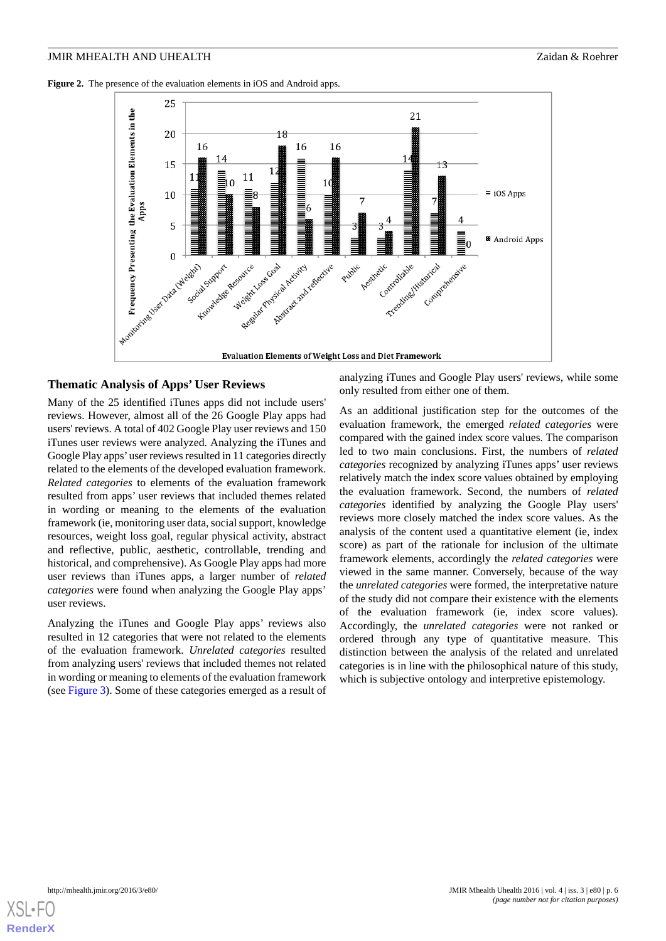<span id="page-5-0"></span>**Figure 2.** The presence of the evaluation elements in iOS and Android apps.



#### **Thematic Analysis of Apps' User Reviews**

Many of the 25 identified iTunes apps did not include users' reviews. However, almost all of the 26 Google Play apps had users' reviews. A total of 402 Google Play user reviews and 150 iTunes user reviews were analyzed. Analyzing the iTunes and Google Play apps'user reviews resulted in 11 categories directly related to the elements of the developed evaluation framework. *Related categories* to elements of the evaluation framework resulted from apps' user reviews that included themes related in wording or meaning to the elements of the evaluation framework (ie, monitoring user data, social support, knowledge resources, weight loss goal, regular physical activity, abstract and reflective, public, aesthetic, controllable, trending and historical, and comprehensive). As Google Play apps had more user reviews than iTunes apps, a larger number of *related categories* were found when analyzing the Google Play apps' user reviews.

Analyzing the iTunes and Google Play apps' reviews also resulted in 12 categories that were not related to the elements of the evaluation framework. *Unrelated categories* resulted from analyzing users' reviews that included themes not related in wording or meaning to elements of the evaluation framework (see [Figure 3](#page-6-0)). Some of these categories emerged as a result of analyzing iTunes and Google Play users' reviews, while some only resulted from either one of them.

As an additional justification step for the outcomes of the evaluation framework, the emerged *related categories* were compared with the gained index score values. The comparison led to two main conclusions. First, the numbers of *related categories* recognized by analyzing iTunes apps' user reviews relatively match the index score values obtained by employing the evaluation framework. Second, the numbers of *related categories* identified by analyzing the Google Play users' reviews more closely matched the index score values. As the analysis of the content used a quantitative element (ie, index score) as part of the rationale for inclusion of the ultimate framework elements, accordingly the *related categories* were viewed in the same manner. Conversely, because of the way the *unrelated categories* were formed, the interpretative nature of the study did not compare their existence with the elements of the evaluation framework (ie, index score values). Accordingly, the *unrelated categories* were not ranked or ordered through any type of quantitative measure. This distinction between the analysis of the related and unrelated categories is in line with the philosophical nature of this study, which is subjective ontology and interpretive epistemology.

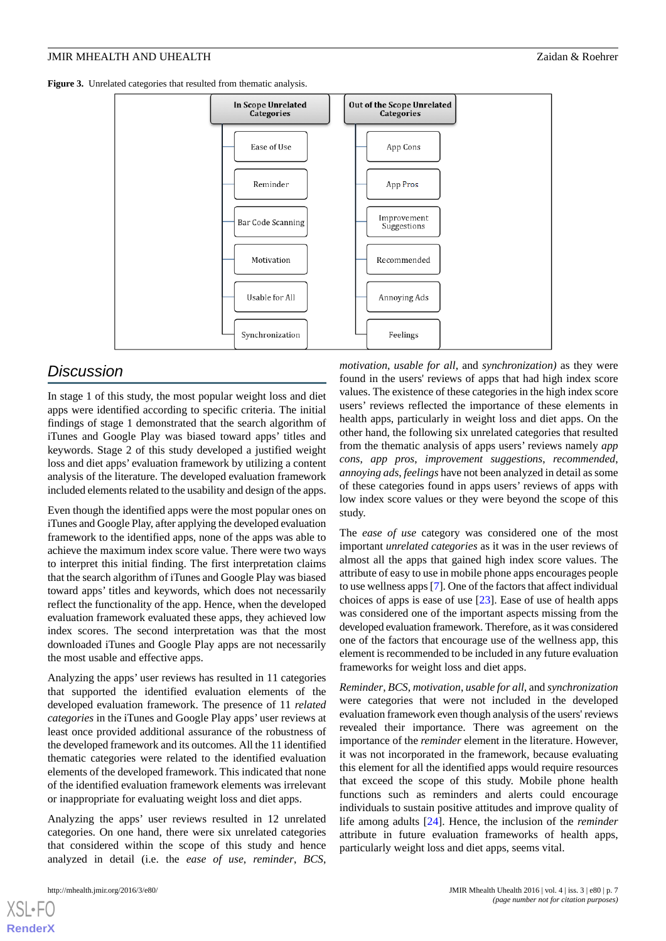<span id="page-6-0"></span>Figure 3. Unrelated categories that resulted from thematic analysis.



# *Discussion*

In stage 1 of this study, the most popular weight loss and diet apps were identified according to specific criteria. The initial findings of stage 1 demonstrated that the search algorithm of iTunes and Google Play was biased toward apps' titles and keywords. Stage 2 of this study developed a justified weight loss and diet apps' evaluation framework by utilizing a content analysis of the literature. The developed evaluation framework included elements related to the usability and design of the apps.

Even though the identified apps were the most popular ones on iTunes and Google Play, after applying the developed evaluation framework to the identified apps, none of the apps was able to achieve the maximum index score value. There were two ways to interpret this initial finding. The first interpretation claims that the search algorithm of iTunes and Google Play was biased toward apps' titles and keywords, which does not necessarily reflect the functionality of the app. Hence, when the developed evaluation framework evaluated these apps, they achieved low index scores. The second interpretation was that the most downloaded iTunes and Google Play apps are not necessarily the most usable and effective apps.

Analyzing the apps' user reviews has resulted in 11 categories that supported the identified evaluation elements of the developed evaluation framework. The presence of 11 *related categories* in the iTunes and Google Play apps' user reviews at least once provided additional assurance of the robustness of the developed framework and its outcomes. All the 11 identified thematic categories were related to the identified evaluation elements of the developed framework. This indicated that none of the identified evaluation framework elements was irrelevant or inappropriate for evaluating weight loss and diet apps.

Analyzing the apps' user reviews resulted in 12 unrelated categories. On one hand, there were six unrelated categories that considered within the scope of this study and hence analyzed in detail (i.e. the *ease of use*, *reminder*, *BCS*,

[XSL](http://www.w3.org/Style/XSL)•FO **[RenderX](http://www.renderx.com/)**

*motivation*, *usable for all*, and *synchronization)* as they were found in the users' reviews of apps that had high index score values. The existence of these categories in the high index score users' reviews reflected the importance of these elements in health apps, particularly in weight loss and diet apps. On the other hand, the following six unrelated categories that resulted from the thematic analysis of apps users' reviews namely *app cons*, *app pros*, *improvement suggestions*, *recommended*, *annoying ads*, *feelings* have not been analyzed in detail as some of these categories found in apps users' reviews of apps with low index score values or they were beyond the scope of this study.

The *ease of use* category was considered one of the most important *unrelated categories* as it was in the user reviews of almost all the apps that gained high index score values. The attribute of easy to use in mobile phone apps encourages people to use wellness apps [[7\]](#page-8-6). One of the factors that affect individual choices of apps is ease of use [[23\]](#page-9-3). Ease of use of health apps was considered one of the important aspects missing from the developed evaluation framework. Therefore, as it was considered one of the factors that encourage use of the wellness app, this element is recommended to be included in any future evaluation frameworks for weight loss and diet apps.

*Reminder*, *BCS*, *motivation*, *usable for all*, and *synchronization* were categories that were not included in the developed evaluation framework even though analysis of the users' reviews revealed their importance. There was agreement on the importance of the *reminder* element in the literature. However, it was not incorporated in the framework, because evaluating this element for all the identified apps would require resources that exceed the scope of this study. Mobile phone health functions such as reminders and alerts could encourage individuals to sustain positive attitudes and improve quality of life among adults [[24\]](#page-9-4). Hence, the inclusion of the *reminder* attribute in future evaluation frameworks of health apps, particularly weight loss and diet apps, seems vital.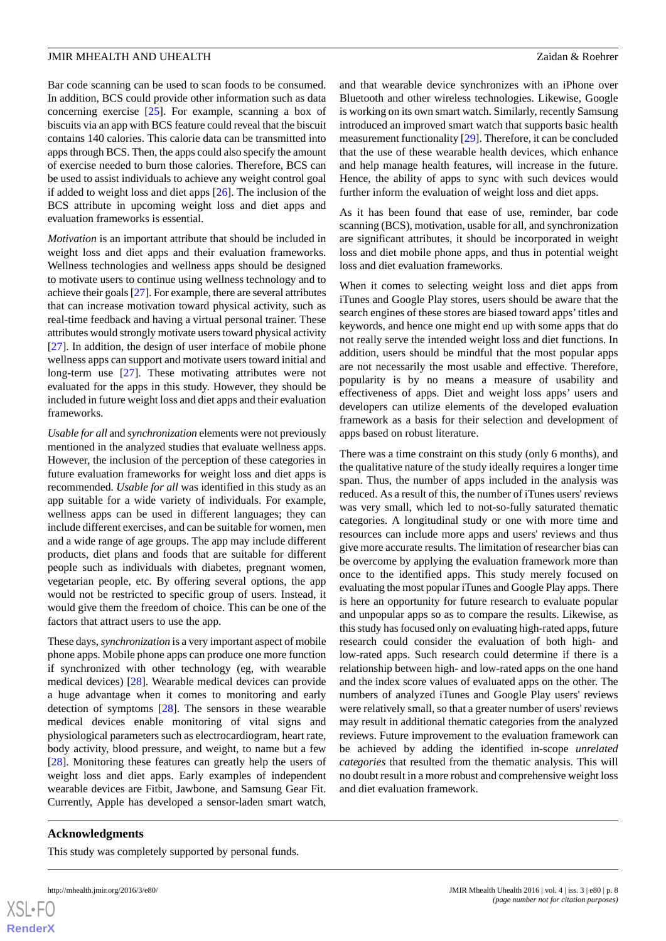Bar code scanning can be used to scan foods to be consumed. In addition, BCS could provide other information such as data concerning exercise [[25\]](#page-9-5). For example, scanning a box of biscuits via an app with BCS feature could reveal that the biscuit contains 140 calories. This calorie data can be transmitted into apps through BCS. Then, the apps could also specify the amount of exercise needed to burn those calories. Therefore, BCS can be used to assist individuals to achieve any weight control goal if added to weight loss and diet apps [\[26](#page-9-6)]. The inclusion of the BCS attribute in upcoming weight loss and diet apps and evaluation frameworks is essential.

*Motivation* is an important attribute that should be included in weight loss and diet apps and their evaluation frameworks. Wellness technologies and wellness apps should be designed to motivate users to continue using wellness technology and to achieve their goals [\[27\]](#page-9-7). For example, there are several attributes that can increase motivation toward physical activity, such as real-time feedback and having a virtual personal trainer. These attributes would strongly motivate users toward physical activity [[27\]](#page-9-7). In addition, the design of user interface of mobile phone wellness apps can support and motivate users toward initial and long-term use [\[27](#page-9-7)]. These motivating attributes were not evaluated for the apps in this study. However, they should be included in future weight loss and diet apps and their evaluation frameworks.

*Usable for all* and *synchronization* elements were not previously mentioned in the analyzed studies that evaluate wellness apps. However, the inclusion of the perception of these categories in future evaluation frameworks for weight loss and diet apps is recommended. *Usable for all* was identified in this study as an app suitable for a wide variety of individuals. For example, wellness apps can be used in different languages; they can include different exercises, and can be suitable for women, men and a wide range of age groups. The app may include different products, diet plans and foods that are suitable for different people such as individuals with diabetes, pregnant women, vegetarian people, etc. By offering several options, the app would not be restricted to specific group of users. Instead, it would give them the freedom of choice. This can be one of the factors that attract users to use the app.

These days, *synchronization* is a very important aspect of mobile phone apps. Mobile phone apps can produce one more function if synchronized with other technology (eg, with wearable medical devices) [[28\]](#page-9-8). Wearable medical devices can provide a huge advantage when it comes to monitoring and early detection of symptoms [[28\]](#page-9-8). The sensors in these wearable medical devices enable monitoring of vital signs and physiological parameters such as electrocardiogram, heart rate, body activity, blood pressure, and weight, to name but a few [[28\]](#page-9-8). Monitoring these features can greatly help the users of weight loss and diet apps. Early examples of independent wearable devices are Fitbit, Jawbone, and Samsung Gear Fit. Currently, Apple has developed a sensor-laden smart watch,

and that wearable device synchronizes with an iPhone over Bluetooth and other wireless technologies. Likewise, Google is working on its own smart watch. Similarly, recently Samsung introduced an improved smart watch that supports basic health measurement functionality [\[29](#page-9-9)]. Therefore, it can be concluded that the use of these wearable health devices, which enhance and help manage health features, will increase in the future. Hence, the ability of apps to sync with such devices would further inform the evaluation of weight loss and diet apps.

As it has been found that ease of use, reminder, bar code scanning (BCS), motivation, usable for all, and synchronization are significant attributes, it should be incorporated in weight loss and diet mobile phone apps, and thus in potential weight loss and diet evaluation frameworks.

When it comes to selecting weight loss and diet apps from iTunes and Google Play stores, users should be aware that the search engines of these stores are biased toward apps'titles and keywords, and hence one might end up with some apps that do not really serve the intended weight loss and diet functions. In addition, users should be mindful that the most popular apps are not necessarily the most usable and effective. Therefore, popularity is by no means a measure of usability and effectiveness of apps. Diet and weight loss apps' users and developers can utilize elements of the developed evaluation framework as a basis for their selection and development of apps based on robust literature.

There was a time constraint on this study (only 6 months), and the qualitative nature of the study ideally requires a longer time span. Thus, the number of apps included in the analysis was reduced. As a result of this, the number of iTunes users' reviews was very small, which led to not-so-fully saturated thematic categories. A longitudinal study or one with more time and resources can include more apps and users' reviews and thus give more accurate results. The limitation of researcher bias can be overcome by applying the evaluation framework more than once to the identified apps. This study merely focused on evaluating the most popular iTunes and Google Play apps. There is here an opportunity for future research to evaluate popular and unpopular apps so as to compare the results. Likewise, as this study has focused only on evaluating high-rated apps, future research could consider the evaluation of both high- and low-rated apps. Such research could determine if there is a relationship between high- and low-rated apps on the one hand and the index score values of evaluated apps on the other. The numbers of analyzed iTunes and Google Play users' reviews were relatively small, so that a greater number of users' reviews may result in additional thematic categories from the analyzed reviews. Future improvement to the evaluation framework can be achieved by adding the identified in-scope *unrelated categories* that resulted from the thematic analysis. This will no doubt result in a more robust and comprehensive weight loss and diet evaluation framework.

# **Acknowledgments**

This study was completely supported by personal funds.

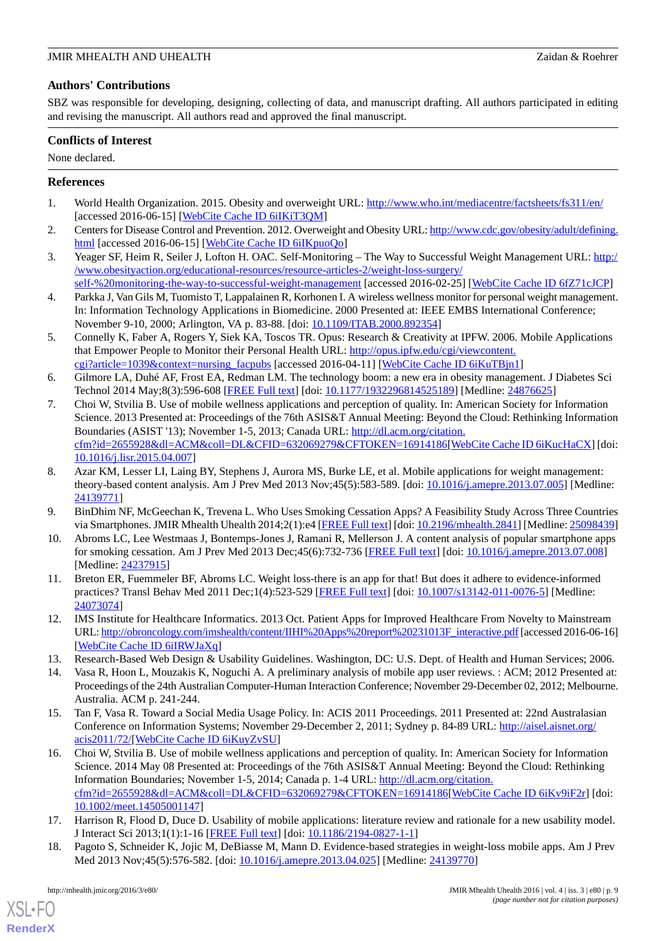#### JMIR MHEALTH AND UHEALTH **EXECUTE:** The Second of the Second Second 2 and 2 and 2 and 2 and 2 and 2 and 2 and 2 and 2 and 2 and 2 and 2 and 2 and 2 and 2 and 2 and 2 and 2 and 2 and 2 and 2 and 2 and 2 and 2 and 2 and 2 an

# **Authors' Contributions**

SBZ was responsible for developing, designing, collecting of data, and manuscript drafting. All authors participated in editing and revising the manuscript. All authors read and approved the final manuscript.

# **Conflicts of Interest**

None declared.

# <span id="page-8-0"></span>**References**

- <span id="page-8-1"></span>1. World Health Organization. 2015. Obesity and overweight URL: <http://www.who.int/mediacentre/factsheets/fs311/en/> [accessed 2016-06-15] [\[WebCite Cache ID 6iIKiT3QM](http://www.webcitation.org/

                                6iIKiT3QM)]
- <span id="page-8-2"></span>2. Centers for Disease Control and Prevention. 2012. Overweight and Obesity URL: [http://www.cdc.gov/obesity/adult/defining.](http://www.cdc.gov/obesity/adult/defining.html) [html](http://www.cdc.gov/obesity/adult/defining.html) [accessed 2016-06-15] [[WebCite Cache ID 6iIKpuoQo](http://www.webcitation.org/

                                6iIKpuoQo)]
- <span id="page-8-3"></span>3. Yeager SF, Heim R, Seiler J, Lofton H. OAC. Self-Monitoring - The Way to Successful Weight Management URL: [http:/](http://www.obesityaction.org/educational-resources/resource-articles-2/weight-loss-surgery/self-%20monitoring-the-way-to-successful-weight-management) [/www.obesityaction.org/educational-resources/resource-articles-2/weight-loss-surgery/](http://www.obesityaction.org/educational-resources/resource-articles-2/weight-loss-surgery/self-%20monitoring-the-way-to-successful-weight-management)
- <span id="page-8-4"></span>[self-%20monitoring-the-way-to-successful-weight-management](http://www.obesityaction.org/educational-resources/resource-articles-2/weight-loss-surgery/self-%20monitoring-the-way-to-successful-weight-management) [accessed 2016-02-25] [\[WebCite Cache ID 6fZ71cJCP\]](http://www.webcitation.org/

                                6fZ71cJCP) 4. Parkka J, Van Gils M, Tuomisto T, Lappalainen R, Korhonen I. A wireless wellness monitor for personal weight management. In: Information Technology Applications in Biomedicine. 2000 Presented at: IEEE EMBS International Conference; November 9-10, 2000; Arlington, VA p. 83-88. [doi: [10.1109/ITAB.2000.892354](http://dx.doi.org/10.1109/ITAB.2000.892354)]
- <span id="page-8-5"></span>5. Connelly K, Faber A, Rogers Y, Siek KA, Toscos TR. Opus: Research & Creativity at IPFW. 2006. Mobile Applications that Empower People to Monitor their Personal Health URL: [http://opus.ipfw.edu/cgi/viewcontent.](http://opus.ipfw.edu/cgi/viewcontent.cgi?article=1039&context=nursing_facpubs) [cgi?article=1039&context=nursing\\_facpubs](http://opus.ipfw.edu/cgi/viewcontent.cgi?article=1039&context=nursing_facpubs) [accessed 2016-04-11] [[WebCite Cache ID 6iKuTBjn1\]](http://www.webcitation.org/

                                6iKuTBjn1)
- <span id="page-8-6"></span>6. Gilmore LA, Duhé AF, Frost EA, Redman LM. The technology boom: a new era in obesity management. J Diabetes Sci Technol 2014 May;8(3):596-608 [\[FREE Full text\]](http://europepmc.org/abstract/MED/24876625) [doi: [10.1177/1932296814525189](http://dx.doi.org/10.1177/1932296814525189)] [Medline: [24876625\]](http://www.ncbi.nlm.nih.gov/entrez/query.fcgi?cmd=Retrieve&db=PubMed&list_uids=24876625&dopt=Abstract)
- <span id="page-8-7"></span>7. Choi W, Stvilia B. Use of mobile wellness applications and perception of quality. In: American Society for Information Science. 2013 Presented at: Proceedings of the 76th ASIS&T Annual Meeting: Beyond the Cloud: Rethinking Information Boundaries (ASIST '13); November 1-5, 2013; Canada URL: [http://dl.acm.org/citation.](http://dl.acm.org/citation.cfm?id=2655928&dl=ACM&coll=DL&CFID=632069279&CFTOKEN=16914186) [cfm?id=2655928&dl=ACM&coll=DL&CFID=632069279&CFTOKEN=16914186](http://dl.acm.org/citation.cfm?id=2655928&dl=ACM&coll=DL&CFID=632069279&CFTOKEN=16914186)[\[WebCite Cache ID 6iKucHaCX\]](http://www.webcitation.org/

                                6iKucHaCX) [doi: [10.1016/j.lisr.2015.04.007\]](http://dx.doi.org/10.1016/j.lisr.2015.04.007)
- <span id="page-8-9"></span><span id="page-8-8"></span>8. Azar KM, Lesser LI, Laing BY, Stephens J, Aurora MS, Burke LE, et al. Mobile applications for weight management: theory-based content analysis. Am J Prev Med 2013 Nov;45(5):583-589. [doi: [10.1016/j.amepre.2013.07.005](http://dx.doi.org/10.1016/j.amepre.2013.07.005)] [Medline: [24139771](http://www.ncbi.nlm.nih.gov/entrez/query.fcgi?cmd=Retrieve&db=PubMed&list_uids=24139771&dopt=Abstract)]
- <span id="page-8-10"></span>9. BinDhim NF, McGeechan K, Trevena L. Who Uses Smoking Cessation Apps? A Feasibility Study Across Three Countries via Smartphones. JMIR Mhealth Uhealth 2014;2(1):e4 [[FREE Full text\]](http://mhealth.jmir.org/2014/1/e4/) [doi: [10.2196/mhealth.2841\]](http://dx.doi.org/10.2196/mhealth.2841) [Medline: [25098439](http://www.ncbi.nlm.nih.gov/entrez/query.fcgi?cmd=Retrieve&db=PubMed&list_uids=25098439&dopt=Abstract)]
- <span id="page-8-11"></span>10. Abroms LC, Lee Westmaas J, Bontemps-Jones J, Ramani R, Mellerson J. A content analysis of popular smartphone apps for smoking cessation. Am J Prev Med 2013 Dec;45(6):732-736 [[FREE Full text\]](http://europepmc.org/abstract/MED/24237915) [doi: [10.1016/j.amepre.2013.07.008\]](http://dx.doi.org/10.1016/j.amepre.2013.07.008) [Medline: [24237915](http://www.ncbi.nlm.nih.gov/entrez/query.fcgi?cmd=Retrieve&db=PubMed&list_uids=24237915&dopt=Abstract)]
- <span id="page-8-12"></span>11. Breton ER, Fuemmeler BF, Abroms LC. Weight loss-there is an app for that! But does it adhere to evidence-informed practices? Transl Behav Med 2011 Dec;1(4):523-529 [\[FREE Full text\]](http://europepmc.org/abstract/MED/24073074) [doi: [10.1007/s13142-011-0076-5](http://dx.doi.org/10.1007/s13142-011-0076-5)] [Medline: [24073074](http://www.ncbi.nlm.nih.gov/entrez/query.fcgi?cmd=Retrieve&db=PubMed&list_uids=24073074&dopt=Abstract)]
- 12. IMS Institute for Healthcare Informatics. 2013 Oct. Patient Apps for Improved Healthcare From Novelty to Mainstream URL: [http://obroncology.com/imshealth/content/IIHI%20Apps%20report%20231013F\\_interactive.pdf](http://obroncology.com/imshealth/content/IIHI%20Apps%20report%20231013F_interactive.pdf) [accessed 2016-06-16] [[WebCite Cache ID 6iIRWJaXq\]](http://www.webcitation.org/

                                6iIRWJaXq)
- 13. Research-Based Web Design & Usability Guidelines. Washington, DC: U.S. Dept. of Health and Human Services; 2006.
- <span id="page-8-13"></span>14. Vasa R, Hoon L, Mouzakis K, Noguchi A. A preliminary analysis of mobile app user reviews. : ACM; 2012 Presented at: Proceedings of the 24th Australian Computer-Human Interaction Conference; November 29-December 02, 2012; Melbourne. Australia. ACM p. 241-244.
- 15. Tan F, Vasa R. Toward a Social Media Usage Policy. In: ACIS 2011 Proceedings. 2011 Presented at: 22nd Australasian Conference on Information Systems; November 29-December 2, 2011; Sydney p. 84-89 URL: [http://aisel.aisnet.org/](http://aisel.aisnet.org/acis2011/72/) [acis2011/72/\[](http://aisel.aisnet.org/acis2011/72/)[WebCite Cache ID 6iKuyZvSU\]](http://www.webcitation.org/

                                6iKuyZvSU)
- <span id="page-8-15"></span><span id="page-8-14"></span>16. Choi W, Stvilia B. Use of mobile wellness applications and perception of quality. In: American Society for Information Science. 2014 May 08 Presented at: Proceedings of the 76th ASIS&T Annual Meeting: Beyond the Cloud: Rethinking Information Boundaries; November 1-5, 2014; Canada p. 1-4 URL: [http://dl.acm.org/citation.](http://dl.acm.org/citation.cfm?id=2655928&dl=ACM&coll=DL&CFID=632069279&CFTOKEN=16914186) [cfm?id=2655928&dl=ACM&coll=DL&CFID=632069279&CFTOKEN=16914186\[](http://dl.acm.org/citation.cfm?id=2655928&dl=ACM&coll=DL&CFID=632069279&CFTOKEN=16914186)[WebCite Cache ID 6iKv9iF2r\]](http://www.webcitation.org/

                                6iKv9iF2r) [doi: [10.1002/meet.14505001147\]](http://dx.doi.org/10.1002/meet.14505001147)
- 17. Harrison R, Flood D, Duce D. Usability of mobile applications: literature review and rationale for a new usability model. J Interact Sci 2013;1(1):1-16 [[FREE Full text](http://link.springer.com/article/10.1186/2194-0827-1-1)] [doi: [10.1186/2194-0827-1-1](http://dx.doi.org/10.1186/2194-0827-1-1)]
- 18. Pagoto S, Schneider K, Jojic M, DeBiasse M, Mann D. Evidence-based strategies in weight-loss mobile apps. Am J Prev Med 2013 Nov;45(5):576-582. [doi: [10.1016/j.amepre.2013.04.025](http://dx.doi.org/10.1016/j.amepre.2013.04.025)] [Medline: [24139770](http://www.ncbi.nlm.nih.gov/entrez/query.fcgi?cmd=Retrieve&db=PubMed&list_uids=24139770&dopt=Abstract)]

[XSL](http://www.w3.org/Style/XSL)•FO **[RenderX](http://www.renderx.com/)**